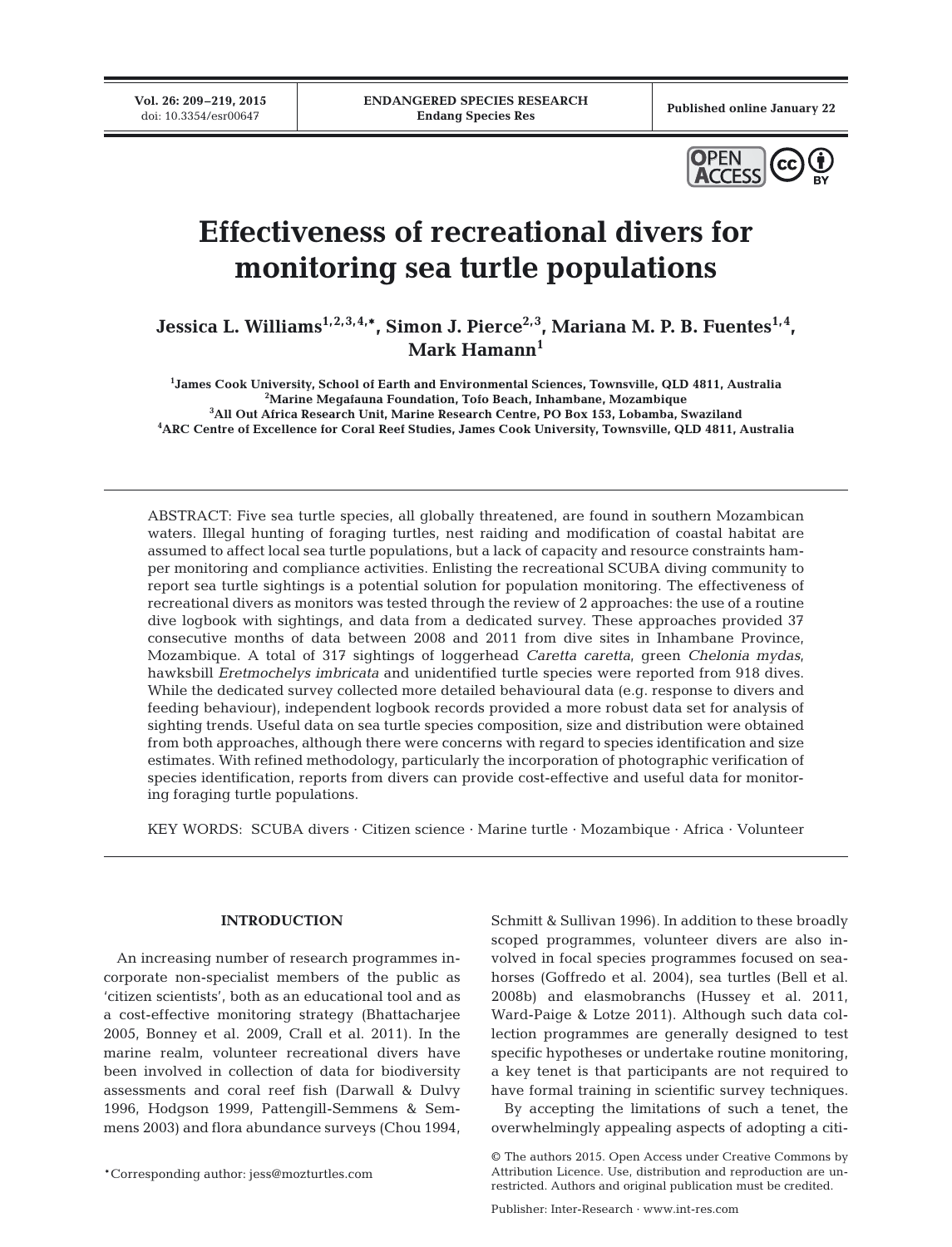**Vol. 26: 209–219, 2015**

Published online January 22



# **Effectiveness of recreational divers for monitoring sea turtle populations**

Jessica L. Williams<sup>1,2,3,4,\*</sup>, Simon J. Pierce<sup>2,3</sup>, Mariana M. P. B. Fuentes<sup>1,4</sup>, **Mark Hamann1**

 **James Cook University, School of Earth and Environmental Sciences, Townsville, QLD 4811, Australia Marine Megafauna Foundation, Tofo Beach, Inhambane, Mozambique All Out Africa Research Unit, Marine Research Centre, PO Box 153, Lobamba, Swaziland ARC Centre of Excellence for Coral Reef Studies, James Cook University, Townsville, QLD 4811, Australia**

ABSTRACT: Five sea turtle species, all globally threatened, are found in southern Mozambican waters. Illegal hunting of foraging turtles, nest raiding and modification of coastal habitat are assumed to affect local sea turtle populations, but a lack of capacity and resource constraints hamper monitoring and compliance activities. Enlisting the recreational SCUBA diving community to report sea turtle sightings is a potential solution for population monitoring. The effectiveness of recreational divers as monitors was tested through the review of 2 approaches: the use of a routine dive logbook with sightings, and data from a dedicated survey. These approaches provided 37 consecutive months of data between 2008 and 2011 from dive sites in Inhambane Province, Mozambique. A total of 317 sightings of loggerhead *Caretta caretta*, green *Chelonia mydas*, hawksbill *Eretmochelys imbricata* and unidentified turtle species were reported from 918 dives. While the dedicated survey collected more detailed behavioural data (e.g. response to divers and feeding behaviour), independent logbook records provided a more robust data set for analysis of sighting trends. Useful data on sea turtle species composition, size and distribution were obtained from both approaches, although there were concerns with regard to species identification and size estimates. With refined methodology, particularly the incorporation of photographic verification of species identification, reports from divers can provide cost-effective and useful data for monitoring foraging turtle populations.

KEY WORDS: SCUBA divers · Citizen science · Marine turtle · Mozambique · Africa · Volunteer

## **INTRODUCTION**

An increasing number of research programmes in corporate non-specialist members of the public as 'citizen scientists', both as an educational tool and as a cost-effective monitoring strategy (Bhattacharjee 2005, Bonney et al. 2009, Crall et al. 2011). In the marine realm, volunteer recreational divers have been involved in collection of data for biodiversity assessments and coral reef fish (Darwall & Dulvy 1996, Hodgson 1999, Pattengill-Semmens & Semmens 2003) and flora abundance surveys (Chou 1994,

Schmitt & Sullivan 1996). In addition to these broadly scoped programmes, volunteer divers are also involved in focal species programmes focused on seahorses (Goffredo et al. 2004), sea turtles (Bell et al. 2008b) and elasmobranchs (Hussey et al. 2011, Ward-Paige & Lotze 2011). Although such data collection programmes are generally designed to test specific hypotheses or undertake routine monitoring, a key tenet is that participants are not required to have formal training in scientific survey techniques.

By accepting the limitations of such a tenet, the overwhelmingly appealing aspects of adopting a citi-

<sup>\*</sup>Corresponding author: jess@mozturtles.com

<sup>©</sup> The authors 2015. Open Access under Creative Commons by Attribution Licence. Use, distribution and reproduction are unrestricted. Authors and original publication must be credited.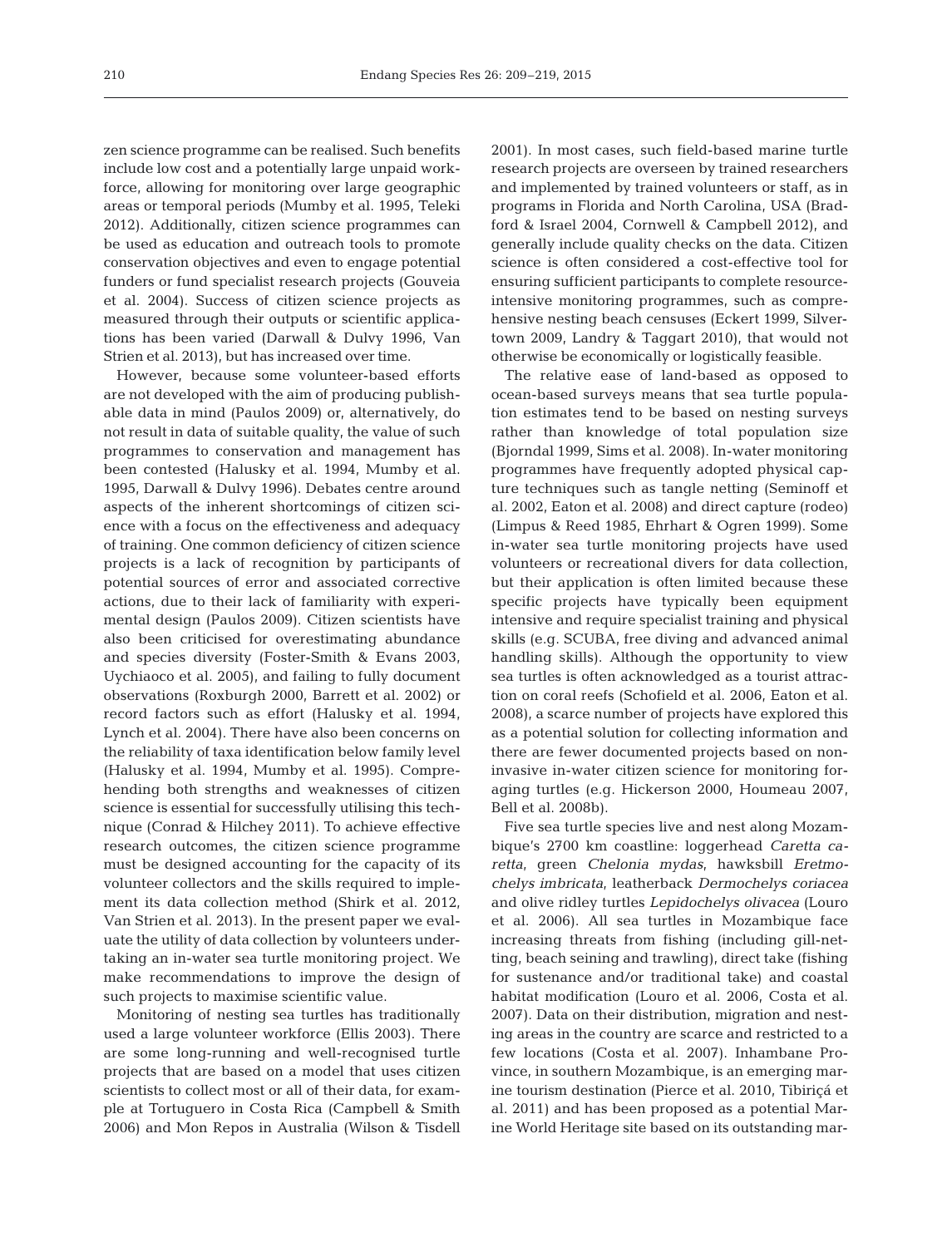zen science programme can be realised. Such benefits include low cost and a potentially large unpaid workforce, allowing for monitoring over large geographic areas or temporal periods (Mumby et al. 1995, Teleki 2012). Additionally, citizen science programmes can be used as education and outreach tools to promote conservation objectives and even to engage potential funders or fund specialist research projects (Gouveia et al. 2004). Success of citizen science projects as measured through their outputs or scientific applications has been varied (Darwall & Dulvy 1996, Van Strien et al. 2013), but has increased over time.

However, because some volunteer-based efforts are not developed with the aim of producing publishable data in mind (Paulos 2009) or, alternatively, do not result in data of suitable quality, the value of such programmes to conservation and management has been contested (Halusky et al. 1994, Mumby et al. 1995, Darwall & Dulvy 1996). Debates centre around aspects of the inherent shortcomings of citizen science with a focus on the effectiveness and adequacy of training. One common deficiency of citizen science projects is a lack of recognition by participants of potential sources of error and associated corrective actions, due to their lack of familiarity with experimental design (Paulos 2009). Citizen scientists have also been criticised for overestimating abundance and species diversity (Foster-Smith & Evans 2003, Uychiaoco et al. 2005), and failing to fully document observations (Roxburgh 2000, Barrett et al. 2002) or record factors such as effort (Halusky et al. 1994, Lynch et al. 2004). There have also been concerns on the reliability of taxa identification below family level (Halusky et al. 1994, Mumby et al. 1995). Comprehending both strengths and weaknesses of citizen science is essential for successfully utilising this technique (Conrad & Hilchey 2011). To achieve effective research outcomes, the citizen science programme must be designed accounting for the capacity of its volunteer collectors and the skills required to implement its data collection method (Shirk et al. 2012, Van Strien et al. 2013). In the present paper we evaluate the utility of data collection by volunteers undertaking an in-water sea turtle monitoring project. We make recommendations to improve the design of such projects to maximise scientific value.

Monitoring of nesting sea turtles has traditionally used a large volunteer workforce (Ellis 2003). There are some long-running and well-recognised turtle projects that are based on a model that uses citizen scientists to collect most or all of their data, for example at Tortuguero in Costa Rica (Campbell & Smith 2006) and Mon Repos in Australia (Wilson & Tisdell 2001). In most cases, such field-based marine turtle research projects are overseen by trained researchers and implemented by trained volunteers or staff, as in programs in Florida and North Carolina, USA (Bradford & Israel 2004, Cornwell & Campbell 2012), and generally include quality checks on the data. Citizen science is often considered a cost-effective tool for ensuring sufficient participants to complete resourceintensive monitoring programmes, such as comprehensive nesting beach censuses (Eckert 1999, Silvertown 2009, Landry & Taggart 2010), that would not otherwise be economically or logistically feasible.

The relative ease of land-based as opposed to ocean-based surveys means that sea turtle population estimates tend to be based on nesting surveys rather than knowledge of total population size (Bjorndal 1999, Sims et al. 2008). In-water monitoring programmes have frequently adopted physical capture techniques such as tangle netting (Seminoff et al. 2002, Eaton et al. 2008) and direct capture (rodeo) (Limpus & Reed 1985, Ehrhart & Ogren 1999). Some in-water sea turtle monitoring projects have used volunteers or recreational divers for data collection, but their application is often limited because these specific projects have typically been equipment intensive and require specialist training and physical skills (e.g. SCUBA, free diving and advanced animal handling skills). Although the opportunity to view sea turtles is often acknowledged as a tourist attraction on coral reefs (Schofield et al. 2006, Eaton et al. 2008), a scarce number of projects have explored this as a potential solution for collecting information and there are fewer documented projects based on noninvasive in-water citizen science for monitoring foraging turtles (e.g. Hickerson 2000, Houmeau 2007, Bell et al. 2008b).

Five sea turtle species live and nest along Mozambique's 2700 km coastline: loggerhead *Caretta ca retta*, green *Chelonia mydas*, hawksbill *Eretmo chelys imbricata*, leatherback *Dermochelys coriacea* and olive ridley turtles *Lepidochelys olivacea* (Louro et al. 2006). All sea turtles in Mozambique face increasing threats from fishing (including gill-netting, beach seining and trawling), direct take (fishing for sustenance and/or traditional take) and coastal habitat modification (Louro et al. 2006, Costa et al. 2007). Data on their distribution, migration and nesting areas in the country are scarce and restricted to a few locations (Costa et al. 2007). Inhambane Province, in southern Mozambique, is an emerging marine tourism destination (Pierce et al. 2010, Tibiriçá et al. 2011) and has been proposed as a potential Marine World Heritage site based on its outstanding mar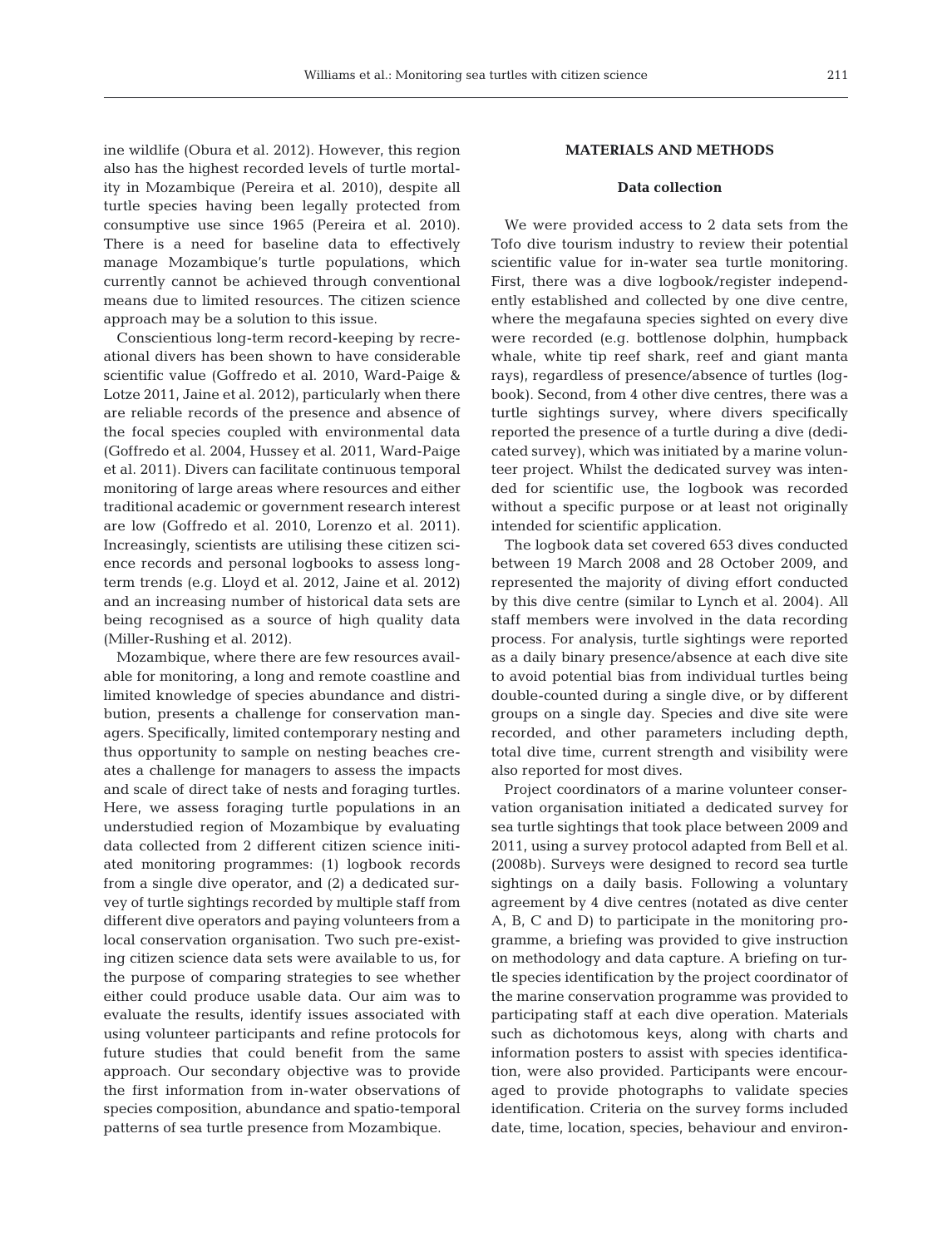ine wildlife (Obura et al. 2012). However, this region also has the highest recorded levels of turtle mortality in Mozambique (Pereira et al. 2010), despite all turtle species having been legally protected from consumptive use since 1965 (Pereira et al. 2010). There is a need for baseline data to effectively manage Mozambique's turtle populations, which currently cannot be achieved through conventional means due to limited resources. The citizen science approach may be a solution to this issue.

Conscientious long-term record-keeping by recreational divers has been shown to have considerable scientific value (Goffredo et al. 2010, Ward-Paige & Lotze 2011, Jaine et al. 2012), particularly when there are reliable records of the presence and absence of the focal species coupled with environmental data (Goffredo et al. 2004, Hussey et al. 2011, Ward-Paige et al. 2011). Divers can facilitate continuous temporal monitoring of large areas where resources and either traditional academic or government research interest are low (Goffredo et al. 2010, Lorenzo et al. 2011). Increasingly, scientists are utilising these citizen science records and personal logbooks to assess longterm trends (e.g. Lloyd et al. 2012, Jaine et al. 2012) and an increasing number of historical data sets are being recognised as a source of high quality data (Miller-Rushing et al. 2012).

Mozambique, where there are few resources available for monitoring, a long and remote coastline and limited knowledge of species abundance and distribution, presents a challenge for conservation managers. Specifically, limited contemporary nesting and thus opportunity to sample on nesting beaches creates a challenge for managers to assess the impacts and scale of direct take of nests and foraging turtles. Here, we assess foraging turtle populations in an understudied region of Mozambique by evaluating data collected from 2 different citizen science initiated monitoring programmes: (1) logbook records from a single dive operator, and (2) a dedicated survey of turtle sightings recorded by multiple staff from different dive operators and paying volunteers from a local conservation organisation. Two such pre-existing citizen science data sets were available to us, for the purpose of comparing strategies to see whether either could produce usable data. Our aim was to evaluate the results, identify issues associated with using volunteer participants and refine protocols for future studies that could benefit from the same approach. Our secondary objective was to provide the first information from in-water observations of species composition, abundance and spatio-temporal patterns of sea turtle presence from Mozambique.

# **MATERIALS AND METHODS**

## **Data collection**

We were provided access to 2 data sets from the Tofo dive tourism industry to review their potential scientific value for in-water sea turtle monitoring. First, there was a dive logbook/register independently established and collected by one dive centre, where the megafauna species sighted on every dive were recorded (e.g. bottlenose dolphin, humpback whale, white tip reef shark, reef and giant manta rays), regardless of presence/absence of turtles (logbook). Second, from 4 other dive centres, there was a turtle sightings survey, where divers specifically reported the presence of a turtle during a dive (dedicated survey), which was initiated by a marine volunteer project. Whilst the dedicated survey was intended for scientific use, the logbook was recorded without a specific purpose or at least not originally intended for scientific application.

The logbook data set covered 653 dives conducted between 19 March 2008 and 28 October 2009, and represented the majority of diving effort conducted by this dive centre (similar to Lynch et al. 2004). All staff members were involved in the data recording process. For analysis, turtle sightings were reported as a daily binary presence/absence at each dive site to avoid potential bias from individual turtles being double-counted during a single dive, or by different groups on a single day. Species and dive site were recorded, and other parameters including depth, total dive time, current strength and visibility were also reported for most dives.

Project coordinators of a marine volunteer conservation organisation initiated a dedicated survey for sea turtle sightings that took place between 2009 and 2011, using a survey protocol adapted from Bell et al. (2008b). Surveys were designed to record sea turtle sightings on a daily basis. Following a voluntary agreement by 4 dive centres (notated as dive center A, B, C and D) to participate in the monitoring programme, a briefing was provided to give instruction on methodology and data capture. A briefing on turtle species identification by the project coordinator of the marine conservation programme was provided to participating staff at each dive operation. Materials such as dichotomous keys, along with charts and information posters to assist with species identification, were also provided. Participants were encouraged to provide photographs to validate species identification. Criteria on the survey forms included date, time, location, species, behaviour and environ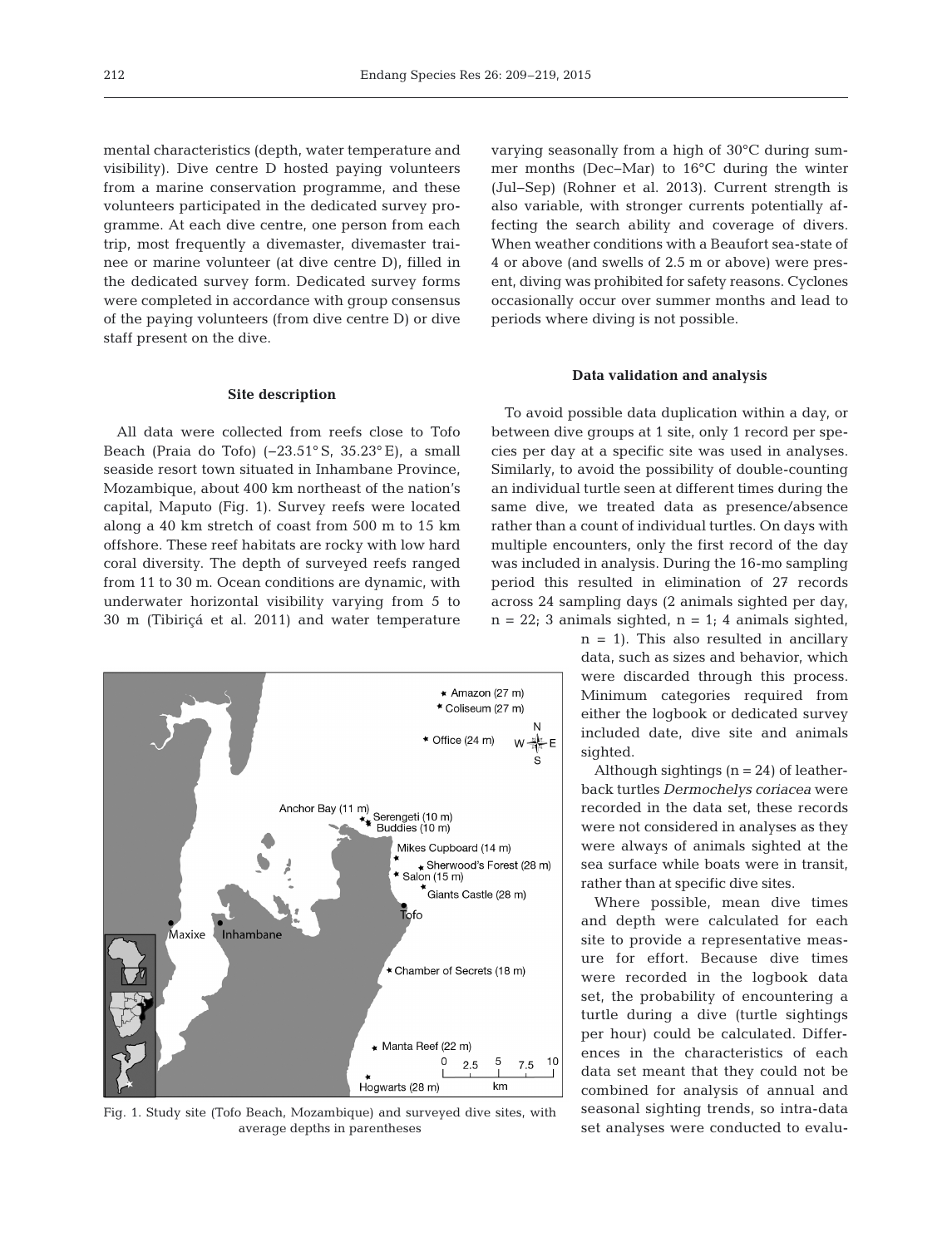mental characteristics (depth, water temperature and visibility). Dive centre D hosted paying volunteers from a marine conservation programme, and these volunteers participated in the dedicated survey programme. At each dive centre, one person from each trip, most frequently a divemaster, divemaster trai nee or marine volunteer (at dive centre D), filled in the dedicated survey form. Dedicated survey forms were completed in accordance with group consensus of the paying volunteers (from dive centre D) or dive staff present on the dive.

## **Site description**

All data were collected from reefs close to Tofo Beach (Praia do Tofo) (−23.51° S, 35.23° E), a small seaside resort town situated in Inhambane Province, Mozambique, about 400 km northeast of the nation's capital, Maputo (Fig. 1). Survey reefs were located along a 40 km stretch of coast from 500 m to 15 km offshore. These reef habitats are rocky with low hard coral diversity. The depth of surveyed reefs ranged from 11 to 30 m. Ocean conditions are dynamic, with underwater horizontal visibility varying from 5 to 30 m (Tibiriçá et al. 2011) and water temperature



Fig. 1. Study site (Tofo Beach, Mozambique) and surveyed dive sites, with average depths in parentheses

varying seasonally from a high of 30°C during summer months (Dec−Mar) to 16°C during the winter (Jul−Sep) (Rohner et al. 2013). Current strength is also variable, with stronger currents potentially af fecting the search ability and coverage of divers. When weather conditions with a Beaufort sea-state of 4 or above (and swells of 2.5 m or above) were present, diving was prohibited for safety reasons. Cyclones occasionally occur over summer months and lead to periods where diving is not possible.

#### **Data validation and analysis**

To avoid possible data duplication within a day, or between dive groups at 1 site, only 1 record per species per day at a specific site was used in analyses. Similarly, to avoid the possibility of double-counting an individual turtle seen at different times during the same dive, we treated data as presence/absence rather than a count of individual turtles. On days with multiple encounters, only the first record of the day was included in analysis. During the 16-mo sampling period this resulted in elimination of 27 records across 24 sampling days (2 animals sighted per day,  $n = 22$ ; 3 animals sighted,  $n = 1$ ; 4 animals sighted,

> $n = 1$ . This also resulted in ancillary data, such as sizes and behavior, which were discarded through this process. Minimum categories required from either the logbook or dedicated survey included date, dive site and animals sighted.

> Although sightings  $(n = 24)$  of leatherback turtles *Dermochelys coriacea* were recorded in the data set, these records were not considered in analyses as they were always of animals sighted at the sea surface while boats were in transit, rather than at specific dive sites.

> Where possible, mean dive times and depth were calculated for each site to provide a representative measure for effort. Because dive times were recorded in the logbook data set, the probability of encountering a turtle during a dive (turtle sightings per hour) could be calculated. Differences in the characteristics of each data set meant that they could not be combined for analysis of annual and seasonal sighting trends, so intra-data set analyses were conducted to evalu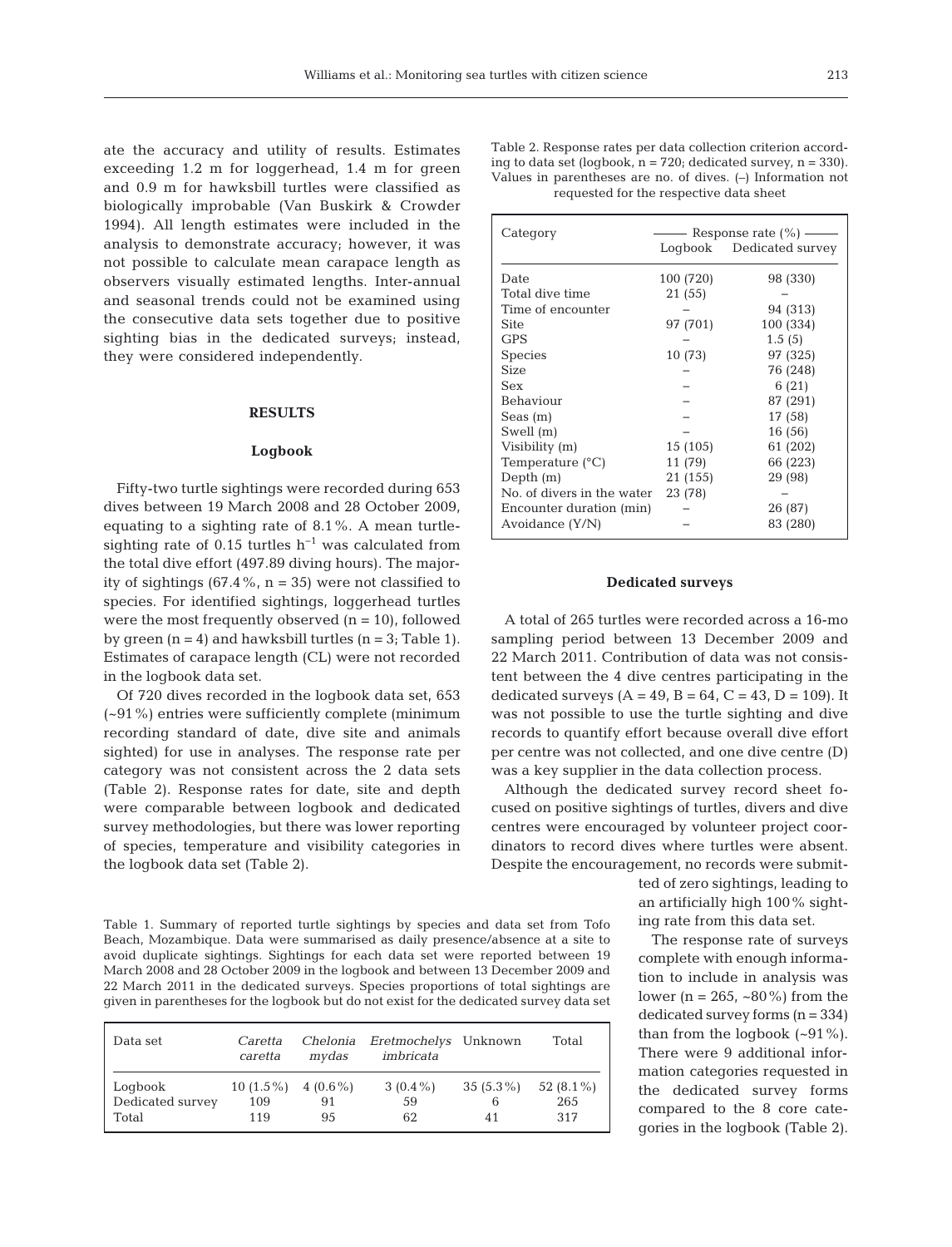ate the accuracy and utility of results. Estimates exceeding 1.2 m for loggerhead, 1.4 m for green and 0.9 m for hawksbill turtles were classified as biologically improbable (Van Buskirk & Crowder 1994). All length estimates were included in the analysis to demonstrate accuracy; however, it was not possible to calculate mean carapace length as observers visually estimated lengths. Inter-annual and seasonal trends could not be examined using the consecutive data sets together due to positive sighting bias in the dedicated surveys; instead, they were considered independently.

# **RESULTS**

#### **Logbook**

Fifty-two turtle sightings were recorded during 653 dives between 19 March 2008 and 28 October 2009, equating to a sighting rate of 8.1%. A mean turtlesighting rate of 0.15 turtles  $h^{-1}$  was calculated from the total dive effort (497.89 diving hours). The majority of sightings  $(67.4\%, n = 35)$  were not classified to species. For identified sightings, loggerhead turtles were the most frequently observed  $(n = 10)$ , followed by green  $(n = 4)$  and hawksbill turtles  $(n = 3;$  Table 1). Estimates of carapace length (CL) were not recorded in the logbook data set.

Of 720 dives recorded in the logbook data set, 653 (~91%) entries were sufficiently complete (minimum recording standard of date, dive site and animals sighted) for use in analyses. The response rate per category was not consistent across the 2 data sets (Table 2). Response rates for date, site and depth were comparable between logbook and dedicated survey methodologies, but there was lower reporting of species, temperature and visibility categories in the logbook data set (Table 2).

Table 1. Summary of reported turtle sightings by species and data set from Tofo Beach, Mozambique. Data were summarised as daily presence/absence at a site to avoid duplicate sightings. Sightings for each data set were reported between 19 March 2008 and 28 October 2009 in the logbook and between 13 December 2009 and 22 March 2011 in the dedicated surveys. Species proportions of total sightings are given in parentheses for the logbook but do not exist for the dedicated survey data set

| Data set                             | Caretta<br>caretta                    | Chelonia<br>mydas | <i>Eretmochelys</i> Unknown<br>imbricata |                        | Total                      |
|--------------------------------------|---------------------------------------|-------------------|------------------------------------------|------------------------|----------------------------|
| Logbook<br>Dedicated survey<br>Total | $10(1.5\%)$ 4 $(0.6\%)$<br>109<br>119 | 91<br>95          | $3(0.4\%)$<br>59<br>62                   | $35(5.3\%)$<br>6<br>41 | 52 $(8.1\%)$<br>265<br>317 |

Table 2. Response rates per data collection criterion according to data set (logbook,  $n = 720$ ; dedicated survey,  $n = 330$ ). Values in parentheses are no. of dives. (–) Information not requested for the respective data sheet

#### **Dedicated surveys**

A total of 265 turtles were recorded across a 16-mo sampling period between 13 December 2009 and 22 March 2011. Contribution of data was not consistent between the 4 dive centres participating in the dedicated surveys  $(A = 49, B = 64, C = 43, D = 109)$ . It was not possible to use the turtle sighting and dive records to quantify effort because overall dive effort per centre was not collected, and one dive centre (D) was a key supplier in the data collection process.

Although the dedicated survey record sheet focused on positive sightings of turtles, divers and dive centres were encouraged by volunteer project coordinators to record dives where turtles were absent. Despite the encouragement, no records were submit-

> ted of zero sightings, leading to an artificially high 100% sighting rate from this data set.

> The response rate of surveys complete with enough information to include in analysis was lower (n = 265,  $~80\%$ ) from the dedicated survey forms  $(n = 334)$ than from the logbook  $(-91\%)$ . There were 9 additional information categories requested in the dedicated survey forms compared to the 8 core categories in the logbook (Table 2).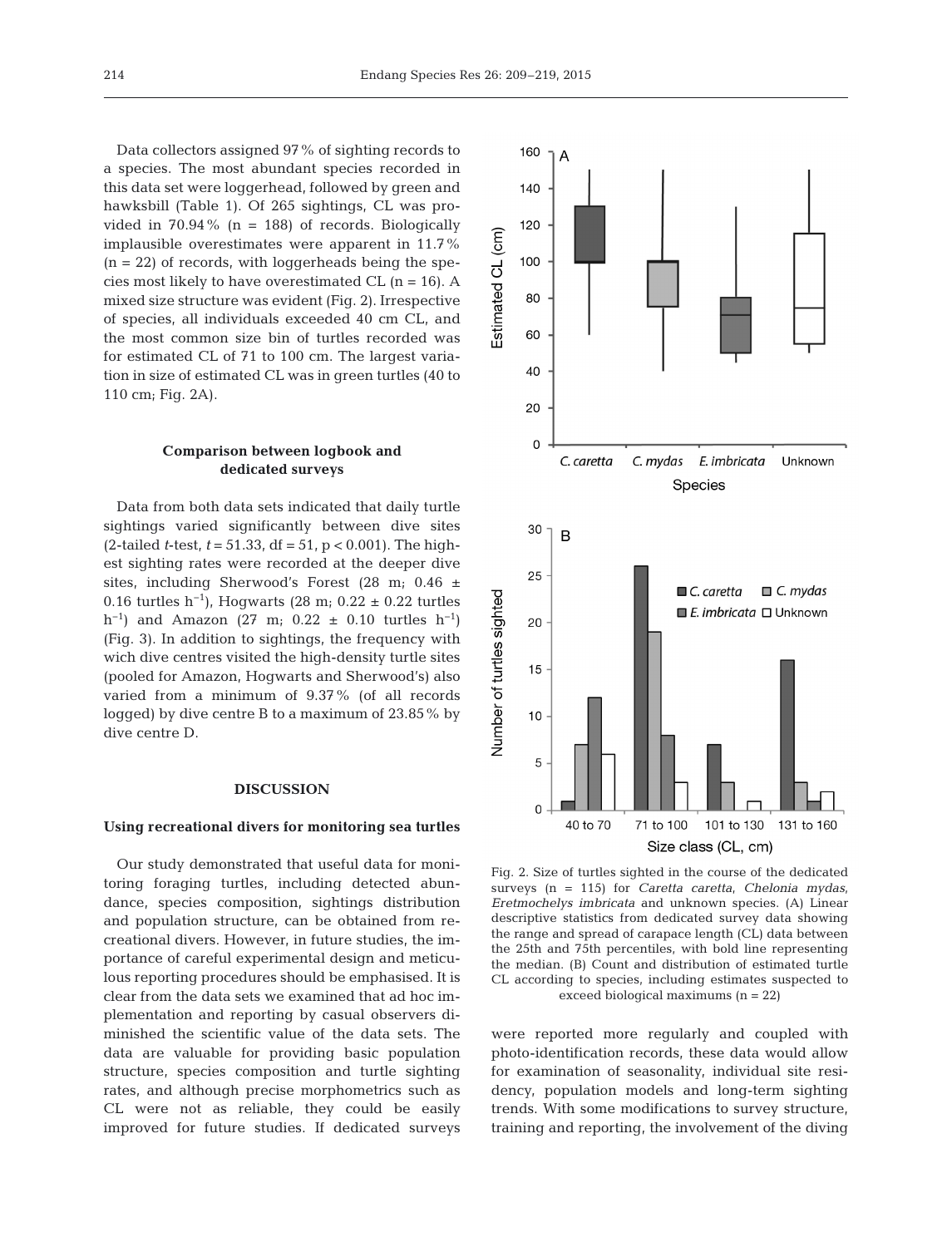Data collectors assigned 97% of sighting records to a species. The most abundant species recorded in this data set were loggerhead, followed by green and hawksbill (Table 1). Of 265 sightings, CL was provided in 70.94% ( $n = 188$ ) of records. Biologically implausible overestimates were apparent in 11.7%  $(n = 22)$  of records, with loggerheads being the species most likely to have overestimated CL  $(n = 16)$ . A mixed size structure was evident (Fig. 2). Irrespective of species, all individuals exceeded 40 cm CL, and the most common size bin of turtles recorded was for estimated CL of 71 to 100 cm. The largest variation in size of estimated CL was in green turtles (40 to 110 cm; Fig. 2A).

## **Comparison between logbook and dedicated surveys**

Data from both data sets indicated that daily turtle sightings varied significantly between dive sites (2-tailed *t*-test, *t* = 51.33, df = 51, p < 0.001). The highest sighting rates were recorded at the deeper dive sites, including Sherwood's Forest  $(28 \text{ m}; 0.46 \pm$ 0.16 turtles h<sup>-1</sup>), Hogwarts (28 m; 0.22 ± 0.22 turtles h<sup>-1</sup>) and Amazon (27 m; 0.22 ± 0.10 turtles h<sup>-1</sup>) (Fig. 3). In addition to sightings, the frequency with wich dive centres visited the high-density turtle sites (pooled for Amazon, Hogwarts and Sherwood's) also varied from a minimum of 9.37% (of all records logged) by dive centre B to a maximum of 23.85% by dive centre D.

### **DISCUSSION**

## **Using recreational divers for monitoring sea turtles**

Our study demonstrated that useful data for monitoring foraging turtles, including detected abundance, species composition, sightings distribution and population structure, can be obtained from recreational divers. However, in future studies, the im portance of careful experimental design and meticulous reporting procedures should be emphasised. It is clear from the data sets we examined that ad hoc implementation and reporting by casual observers diminished the scientific value of the data sets. The data are valuable for providing basic population structure, species composition and turtle sighting rates, and although precise morphometrics such as CL were not as reliable, they could be easily improved for future studies. If dedicated surveys



Fig. 2. Size of turtles sighted in the course of the dedicated surveys (n = 115) for *Caretta caretta*, *Chelonia mydas*, *Eretmochelys imbricata* and unknown species. (A) Linear descriptive statistics from dedicated survey data showing the range and spread of carapace length (CL) data between the 25th and 75th percentiles, with bold line representing the median. (B) Count and distribution of estimated turtle CL according to species, including estimates suspected to exceed biological maximums (n = 22)

were reported more regularly and coupled with photo-identification records, these data would allow for examination of seasonality, individual site residency, population models and long-term sighting trends. With some modifications to survey structure, training and reporting, the involvement of the diving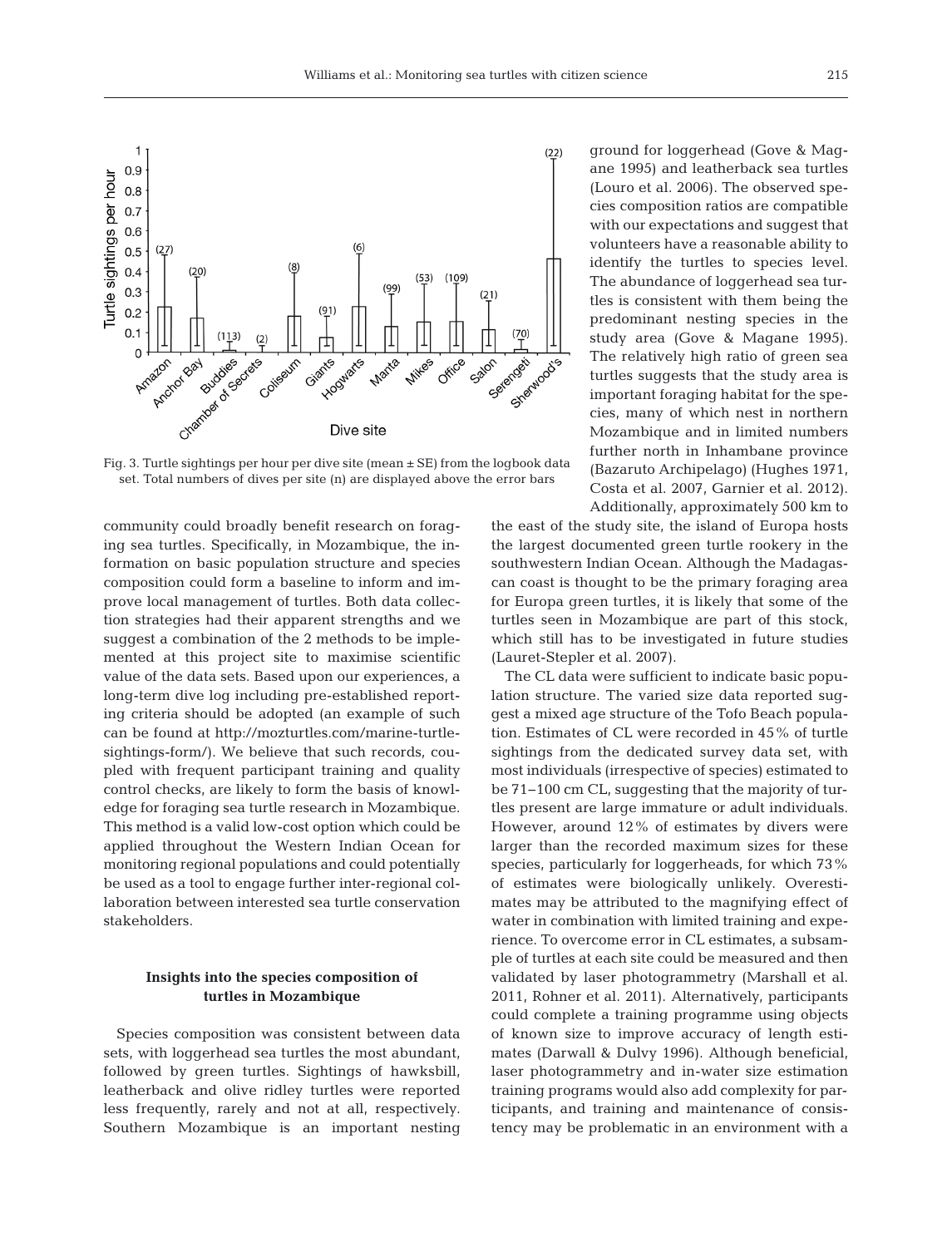

Fig. 3. Turtle sightings per hour per dive site (mean  $\pm$  SE) from the logbook data set. Total numbers of dives per site (n) are displayed above the error bars

community could broadly benefit research on foraging sea turtles. Specifically, in Mozambique, the information on basic population structure and species composition could form a baseline to inform and improve local management of turtles. Both data collection strategies had their apparent strengths and we suggest a combination of the 2 methods to be implemented at this project site to maximise scientific value of the data sets. Based upon our experiences, a long-term dive log including pre-established reporting criteria should be adopted (an example of such can be found at http://mozturtles.com/marine-turtlesightings-form/). We believe that such records, coupled with frequent participant training and quality control checks, are likely to form the basis of knowledge for foraging sea turtle research in Mozambique. This method is a valid low-cost option which could be applied throughout the Western Indian Ocean for monitoring regional populations and could potentially be used as a tool to engage further inter-regional collaboration between interested sea turtle conservation stakeholders.

# **Insights into the species composition of turtles in Mozambique**

Species composition was consistent between data sets, with loggerhead sea turtles the most abundant, followed by green turtles. Sightings of hawksbill, leatherback and olive ridley turtles were reported less frequently, rarely and not at all, respectively. Southern Mozambique is an important nesting ground for loggerhead (Gove & Magane 1995) and leatherback sea turtles (Louro et al. 2006). The observed species composition ratios are compatible with our expectations and suggest that volunteers have a reasonable ability to identify the turtles to species level. The abundance of loggerhead sea turtles is consistent with them being the predominant nesting species in the study area (Gove & Magane 1995). The relatively high ratio of green sea turtles suggests that the study area is important foraging habitat for the species, many of which nest in northern Mozambique and in limited numbers further north in Inhambane province (Bazaruto Archipelago) (Hughes 1971, Costa et al. 2007, Garnier et al. 2012). Additionally, approximately 500 km to

the east of the study site, the island of Europa hosts the largest documented green turtle rookery in the southwestern Indian Ocean. Although the Madagascan coast is thought to be the primary foraging area for Europa green turtles, it is likely that some of the turtles seen in Mozambique are part of this stock, which still has to be investigated in future studies (Lauret-Stepler et al. 2007).

The CL data were sufficient to indicate basic population structure. The varied size data reported suggest a mixed age structure of the Tofo Beach population. Estimates of CL were recorded in 45% of turtle sightings from the dedicated survey data set, with most individuals (irrespective of species) estimated to be 71−100 cm CL, suggesting that the majority of turtles present are large immature or adult individuals. However, around 12% of estimates by divers were larger than the recorded maximum sizes for these species, particularly for loggerheads, for which 73% of estimates were biologically unlikely. Overestimates may be attributed to the magnifying effect of water in combination with limited training and experience. To overcome error in CL estimates, a subsample of turtles at each site could be measured and then validated by laser photogrammetry (Marshall et al. 2011, Rohner et al. 2011). Alternatively, participants could complete a training programme using objects of known size to improve accuracy of length estimates (Darwall & Dulvy 1996). Although beneficial, laser photogrammetry and in-water size estimation training programs would also add complexity for participants, and training and maintenance of consistency may be problematic in an environment with a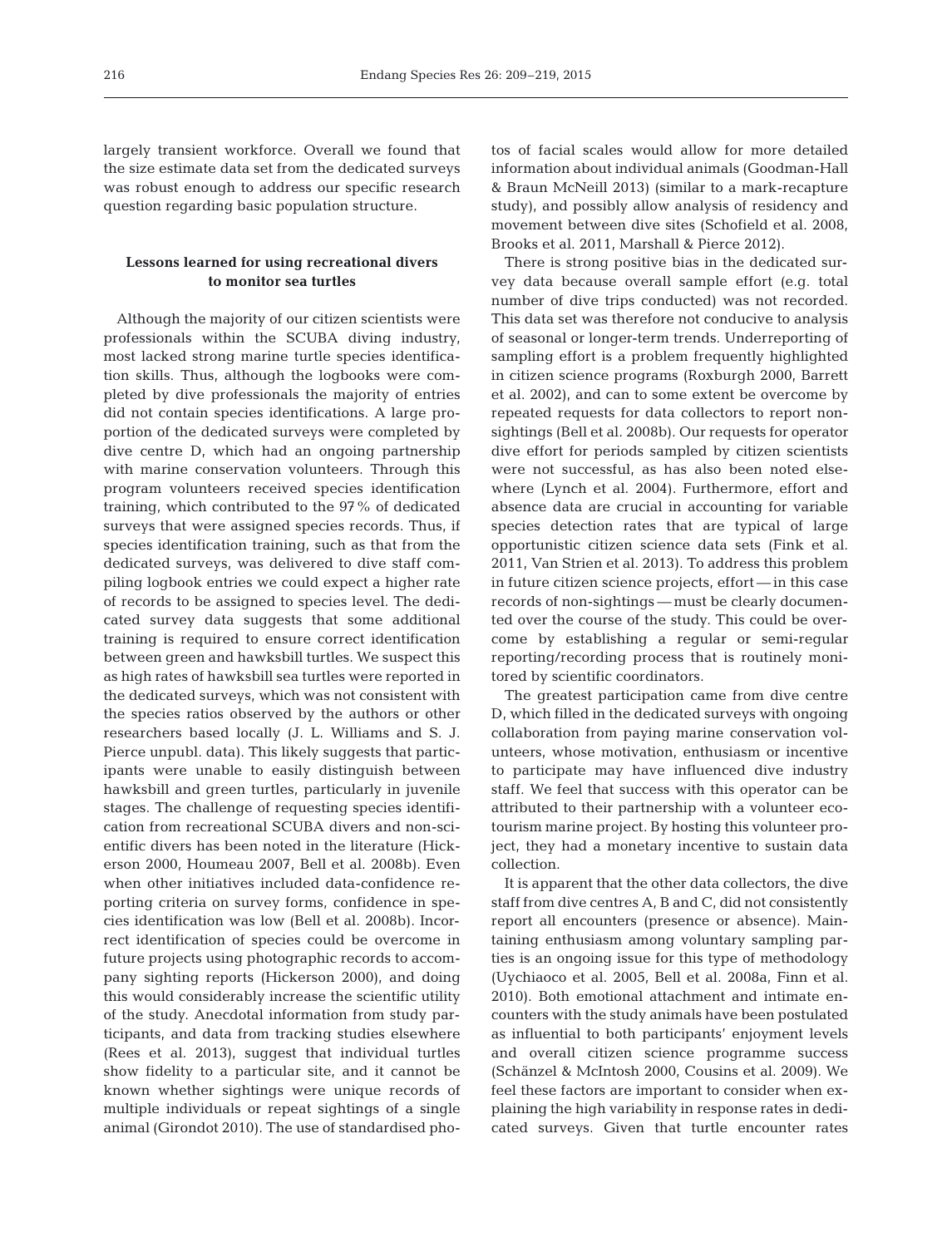largely transient workforce. Overall we found that the size estimate data set from the dedicated surveys was robust enough to address our specific research question regarding basic population structure.

# **Lessons learned for using recreational divers to monitor sea turtles**

Although the majority of our citizen scientists were professionals within the SCUBA diving industry, most lacked strong marine turtle species identification skills. Thus, although the logbooks were completed by dive professionals the majority of entries did not contain species identifications. A large proportion of the dedicated surveys were completed by dive centre D, which had an ongoing partnership with marine conservation volunteers. Through this program volunteers received species identification training, which contributed to the 97% of dedicated surveys that were assigned species records. Thus, if species identification training, such as that from the dedicated surveys, was delivered to dive staff compiling logbook entries we could expect a higher rate of records to be assigned to species level. The dedicated survey data suggests that some additional training is required to ensure correct identification between green and hawksbill turtles. We suspect this as high rates of hawksbill sea turtles were reported in the dedicated surveys, which was not consistent with the species ratios observed by the authors or other researchers based locally (J. L. Williams and S. J. Pierce unpubl. data). This likely suggests that participants were unable to easily distinguish between hawksbill and green turtles, particularly in juvenile stages. The challenge of requesting species identification from recreational SCUBA divers and non-scientific divers has been noted in the literature (Hickerson 2000, Houmeau 2007, Bell et al. 2008b). Even when other initiatives included data-confidence reporting criteria on survey forms, confidence in species identification was low (Bell et al. 2008b). Incorrect identification of species could be overcome in future projects using photographic records to accompany sighting reports (Hickerson 2000), and doing this would considerably increase the scientific utility of the study. Anecdotal information from study participants, and data from tracking studies elsewhere (Rees et al. 2013), suggest that individual turtles show fidelity to a particular site, and it cannot be known whether sightings were unique records of multiple individuals or repeat sightings of a single animal (Girondot 2010). The use of standardised photos of facial scales would allow for more detailed information about individual animals (Goodman-Hall & Braun McNeill 2013) (similar to a mark-recapture study), and possibly allow analysis of residency and movement between dive sites (Schofield et al. 2008, Brooks et al. 2011, Marshall & Pierce 2012).

There is strong positive bias in the dedicated survey data because overall sample effort (e.g. total number of dive trips conducted) was not recorded. This data set was therefore not conducive to analysis of seasonal or longer-term trends. Underreporting of sampling effort is a problem frequently highlighted in citizen science programs (Roxburgh 2000, Barrett et al. 2002), and can to some extent be overcome by repeated requests for data collectors to report nonsightings (Bell et al. 2008b). Our requests for operator dive effort for periods sampled by citizen scientists were not successful, as has also been noted elsewhere (Lynch et al. 2004). Furthermore, effort and absence data are crucial in accounting for variable species detection rates that are typical of large opportunistic citizen science data sets (Fink et al. 2011, Van Strien et al. 2013). To address this problem in future citizen science projects, effort — in this case records of non-sightings — must be clearly documen ted over the course of the study. This could be overcome by establishing a regular or semi-regular reporting/recording process that is routinely monitored by scientific coordinators.

The greatest participation came from dive centre D, which filled in the dedicated surveys with ongoing collaboration from paying marine conservation volunteers, whose motivation, enthusiasm or incentive to participate may have influenced dive industry staff. We feel that success with this operator can be attributed to their partnership with a volunteer ecotourism marine project. By hosting this volunteer project, they had a monetary incentive to sustain data collection.

It is apparent that the other data collectors, the dive staff from dive centres A, B and C, did not consistently report all encounters (presence or absence). Maintaining enthusiasm among voluntary sampling par ties is an ongoing issue for this type of methodology (Uychiaoco et al. 2005, Bell et al. 2008a, Finn et al. 2010). Both emotional attachment and intimate encounters with the study animals have been postulated as influential to both participants' enjoyment levels and overall citizen science programme success (Schänzel & McIntosh 2000, Cousins et al. 2009). We feel these factors are important to consider when explaining the high variability in response rates in dedicated surveys. Given that turtle encounter rates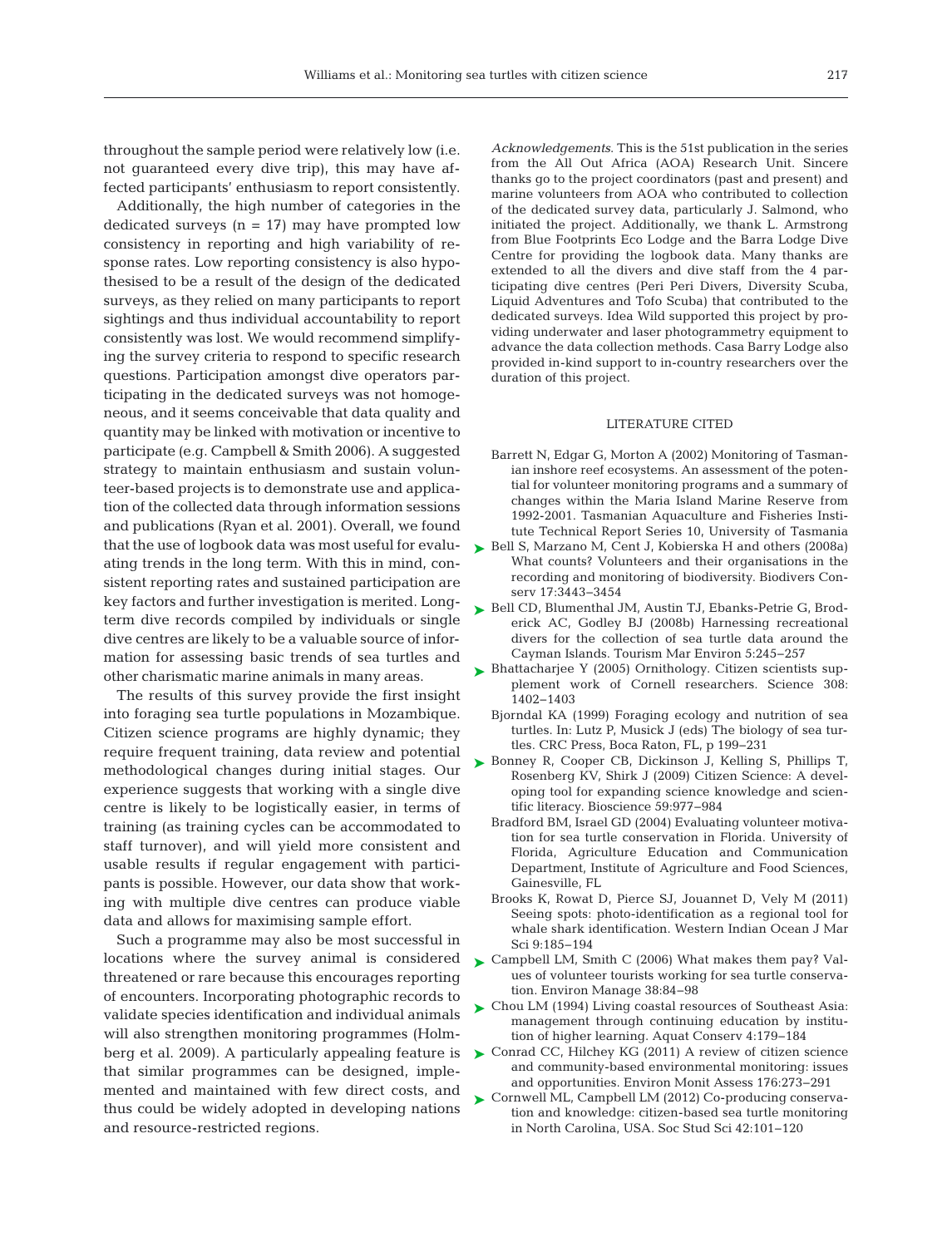throughout the sample period were relatively low (i.e. not guaranteed every dive trip), this may have affected participants' enthusiasm to report consistently.

Additionally, the high number of categories in the dedicated surveys  $(n = 17)$  may have prompted low consistency in reporting and high variability of re sponse rates. Low reporting consistency is also hypothesised to be a result of the design of the dedicated surveys, as they relied on many participants to report sightings and thus individual accountability to report consistently was lost. We would recommend simplifying the survey criteria to respond to specific research questions. Participation amongst dive operators participating in the dedicated surveys was not homogeneous, and it seems conceivable that data quality and quantity may be linked with motivation or incentive to participate (e.g. Campbell & Smith 2006). A suggested strategy to maintain enthusiasm and sustain volunteer-based projects is to demonstrate use and application of the collected data through information sessions and publications (Ryan et al. 2001). Overall, we found that the use of logbook data was most useful for evaluating trends in the long term. With this in mind, consistent reporting rates and sustained participation are key factors and further investigation is merited. Longterm dive records compiled by individuals or single dive centres are likely to be a valuable source of information for assessing basic trends of sea turtles and other charismatic marine animals in many areas.

The results of this survey provide the first insight into foraging sea turtle populations in Mozambique. Citizen science programs are highly dynamic; they require frequent training, data review and potential methodological changes during initial stages. Our experience suggests that working with a single dive centre is likely to be logistically easier, in terms of training (as training cycles can be accommodated to staff turnover), and will yield more consistent and usable results if regular engagement with participants is possible. However, our data show that working with multiple dive centres can produce viable data and allows for maximising sample effort.

Such a programme may also be most successful in locations where the survey animal is considered threatened or rare because this encourages reporting of encounters. Incorporating photographic records to validate species identification and individual animals will also strengthen monitoring programmes (Holmberg et al. 2009). A particularly appealing feature is that similar programmes can be designed, implemented and maintained with few direct costs, and thus could be widely adopted in developing nations and resource-restricted regions.

*Acknowledgements*. This is the 51st publication in the series from the All Out Africa (AOA) Research Unit. Sincere thanks go to the project coordinators (past and present) and marine volunteers from AOA who contributed to collection of the dedicated survey data, particularly J. Salmond, who initiated the project. Additionally, we thank L. Armstrong from Blue Footprints Eco Lodge and the Barra Lodge Dive Centre for providing the logbook data. Many thanks are extended to all the divers and dive staff from the 4 participating dive centres (Peri Peri Divers, Diversity Scuba, Liquid Adventures and Tofo Scuba) that contributed to the dedicated surveys. Idea Wild supported this project by providing underwater and laser photogrammetry equipment to advance the data collection methods. Casa Barry Lodge also provided in-kind support to in-country researchers over the duration of this project.

#### LITERATURE CITED

- Barrett N, Edgar G, Morton A (2002) Monitoring of Tasmanian inshore reef ecosystems. An assessment of the potential for volunteer monitoring programs and a summary of changes within the Maria Island Marine Reserve from 1992-2001. Tasmanian Aquaculture and Fisheries Institute Technical Report Series 10, University of Tasmania
- ► [Bell S, Marzano M, Cent J, Kobierska H and others \(2008a\)](http://dx.doi.org/10.1007/s10531-008-9357-9) What counts? Volunteers and their organisations in the recording and monitoring of biodiversity. Biodivers Conserv 17:3443-3454
- ▶ [Bell CD, Blumenthal JM, Austin TJ, Ebanks-Petrie G, Brod](http://dx.doi.org/10.3727/154427308788714768)erick AC, Godley BJ (2008b) Harnessing recreational divers for the collection of sea turtle data around the Cayman Islands. Tourism Mar Environ 5: 245−257
- ► [Bhattacharjee Y \(2005\) Ornithology. Citizen scientists sup](http://dx.doi.org/10.1126/science.308.5727.1402)plement work of Cornell researchers. Science 308: 1402−1403
	- Bjorndal KA (1999) Foraging ecology and nutrition of sea turtles. In:Lutz P, Musick J (eds) The biology of sea turtles. CRC Press, Boca Raton, FL, p 199−231
- ▶ [Bonney R, Cooper CB, Dickinson J, Kelling S, Phillips T,](http://dx.doi.org/10.1525/bio.2009.59.11.9) Rosenberg KV, Shirk J (2009) Citizen Science: A developing tool for expanding science knowledge and scientific literacy. Bioscience 59: 977−984
	- Bradford BM, Israel GD (2004) Evaluating volunteer motivation for sea turtle conservation in Florida. University of Florida, Agriculture Education and Communication Department, Institute of Agriculture and Food Sciences, Gainesville, FL
	- Brooks K, Rowat D, Pierce SJ, Jouannet D, Vely M (2011) Seeing spots: photo-identification as a regional tool for whale shark identification. Western Indian Ocean J Mar Sci 9: 185−194
- ► [Campbell LM, Smith C \(2006\) What makes them pay? Val](http://dx.doi.org/10.1007/s00267-005-0188-0)ues of volunteer tourists working for sea turtle conservation. Environ Manage 38:84-98
- ► Chou LM (1994) Living coastal resources of Southeast Asia: management through continuing education by institution of higher learning. Aquat Conserv 4: 179−184
- ► [Conrad CC, Hilchey KG \(2011\) A review of citizen science](http://dx.doi.org/10.1007/s10661-010-1582-5) and community-based environmental monitoring: issues and opportunities. Environ Monit Assess 176:273-291
- ► [Cornwell ML, Campbell LM \(2012\) Co-producing conserva](http://dx.doi.org/10.1177/0306312711430440)tion and knowledge: citizen-based sea turtle monitoring in North Carolina, USA. Soc Stud Sci 42: 101−120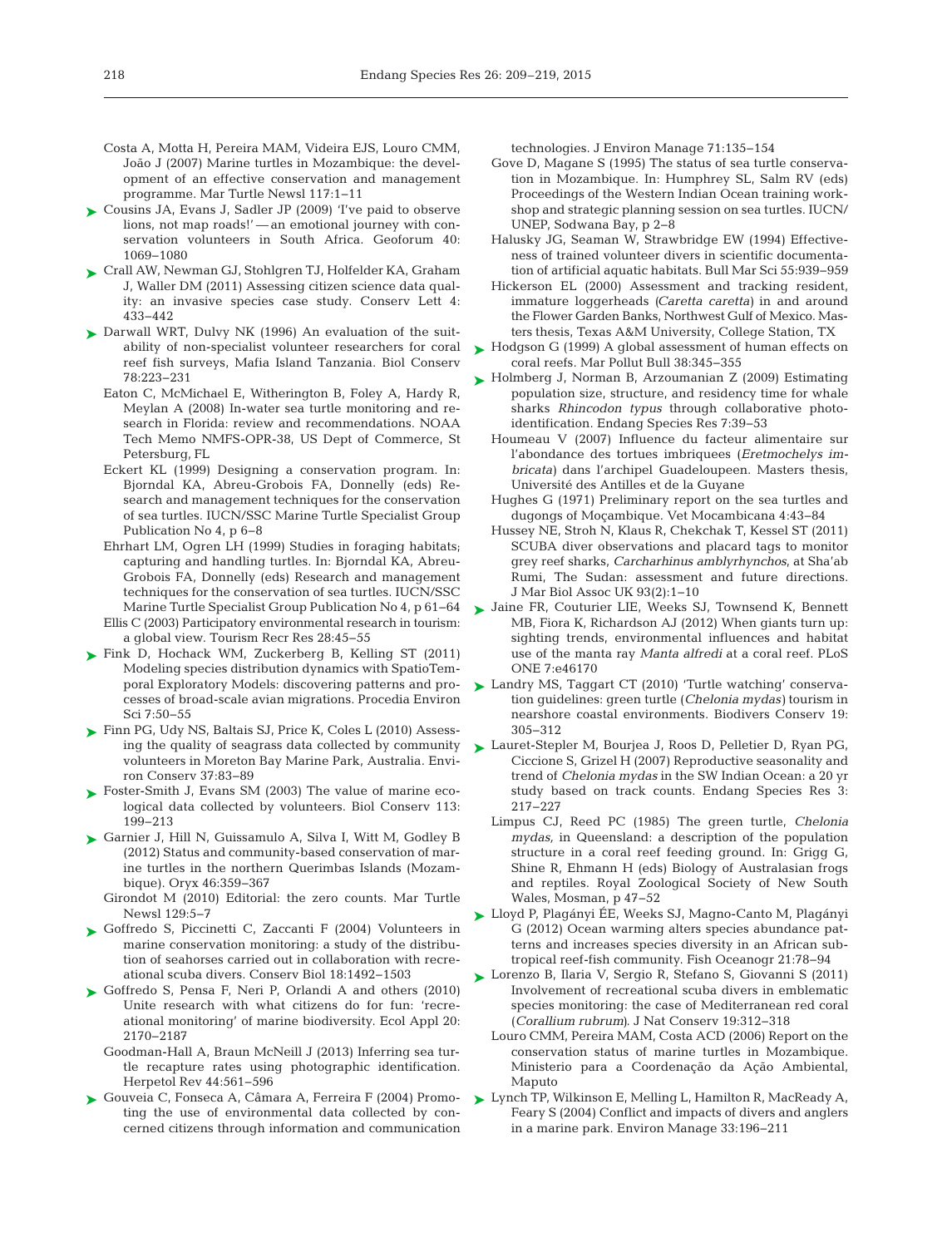- Costa A, Motta H, Pereira MAM, Videira EJS, Louro CMM, João J (2007) Marine turtles in Mozambique: the development of an effective conservation and management programme. Mar Turtle Newsl 117: 1−11
- ► Cousins JA, Evans J, Sadler JP (2009) Tve paid to observe lions, not map roads!' — an emotional journey with conservation volunteers in South Africa. Geoforum 40: 1069−1080
- [Crall AW, Newman GJ, Stohlgren TJ, Holfelder KA, Graham](http://dx.doi.org/10.1111/j.1755-263X.2011.00196.x) ➤ J, Waller DM (2011) Assessing citizen science data quality: an invasive species case study. Conserv Lett 4: 433−442
- ▶ [Darwall WRT, Dulvy NK \(1996\) An evaluation of the suit](http://dx.doi.org/10.1016/0006-3207(95)00147-6)ability of non-specialist volunteer researchers for coral reef fish surveys, Mafia Island Tanzania. Biol Conserv 78: 223−231
	- Eaton C, McMichael E, Witherington B, Foley A, Hardy R, Meylan A (2008) In-water sea turtle monitoring and research in Florida: review and recommendations. NOAA Tech Memo NMFS-OPR-38, US Dept of Commerce, St Petersburg, FL
	- Eckert KL (1999) Designing a conservation program. In: Bjorndal KA, Abreu-Grobois FA, Donnelly (eds) Re search and management techniques for the conservation of sea turtles. IUCN/SSC Marine Turtle Specialist Group Publication No 4, p 6−8
	- Ehrhart LM, Ogren LH (1999) Studies in foraging habitats; capturing and handling turtles. In: Bjorndal KA, Abreu-Grobois FA, Donnelly (eds) Research and management techniques for the conservation of sea turtles. IUCN/SSC Marine Turtle Specialist Group Publication No 4, p 61−64
	- Ellis C (2003) Participatory environmental research in tourism: a global view. Tourism Recr Res 28: 45−55
- [Fink D, Hochack WM, Zuckerberg B, Kelling ST \(2011\)](http://dx.doi.org/10.1016/j.proenv.2011.07.010) ➤ Modeling species distribution dynamics with SpatioTemporal Exploratory Models: discovering patterns and processes of broad-scale avian migrations. Procedia Environ Sci 7: 50−55
- [Finn PG, Udy NS, Baltais SJ, Price K, Coles L \(2010\) Assess-](http://dx.doi.org/10.1017/S0376892910000251)➤ ing the quality of seagrass data collected by community volunteers in Moreton Bay Marine Park, Australia. Environ Conserv 37:83-89
- ► [Foster-Smith J, Evans SM \(2003\) The value of marine eco](http://dx.doi.org/10.1016/S0006-3207(02)00373-7)logical data collected by volunteers. Biol Conserv 113: 199−213
- ▶ [Garnier J, Hill N, Guissamulo A, Silva I, Witt M, Godley B](http://dx.doi.org/10.1017/S0030605311001566) (2012) Status and community-based conservation of marine turtles in the northern Querimbas Islands (Mozambique). Oryx 46:359-367
	- Girondot M (2010) Editorial: the zero counts. Mar Turtle Newsl 129:5−7
- ► [Goffredo S, Piccinetti C, Zaccanti F \(2004\) Volunteers in](http://dx.doi.org/10.1111/j.1523-1739.2004.00015.x) marine conservation monitoring: a study of the distribution of seahorses carried out in collaboration with recreational scuba divers. Conserv Biol 18: 1492−1503
- ► [Goffredo S, Pensa F, Neri P, Orlandi A and others \(2010\)](http://dx.doi.org/10.1890/09-1546.1) Unite research with what citizens do for fun: 'recreational monitoring' of marine biodiversity. Ecol Appl 20: 2170−2187
	- Goodman-Hall A, Braun McNeill J (2013) Inferring sea turtle recapture rates using photographic identification. Herpetol Rev 44:561-596
- ► Gouveia C, Fonseca A, Câmara A, Ferreira F (2004) Promoting the use of environmental data collected by concerned citizens through information and communication

technologies. J Environ Manage 71: 135−154

- Gove D, Magane S (1995) The status of sea turtle conservation in Mozambique. In: Humphrey SL, Salm RV (eds) Proceedings of the Western Indian Ocean training workshop and strategic planning session on sea turtles. IUCN/ UNEP, Sodwana Bay, p 2−8
- Halusky JG, Seaman W, Strawbridge EW (1994) Effectiveness of trained volunteer divers in scientific documentation of artificial aquatic habitats. Bull Mar Sci 55: 939−959
- Hickerson EL (2000) Assessment and tracking resident, immature loggerheads *(Caretta caretta)* in and around the Flower Garden Banks, Northwest Gulf of Mexico. Masters thesis, Texas A&M University, College Station, TX
- [Hodgson G \(1999\) A global assessment of human effects on](http://dx.doi.org/10.1016/S0025-326X(99)00002-8) ➤ coral reefs. Mar Pollut Bull 38: 345−355
- ► [Holmberg J, Norman B, Arzoumanian Z \(2009\) Estimating](http://dx.doi.org/10.3354/esr00186) population size, structure, and residency time for whale sharks *Rhincodon typus* through collaborative photoidentification. Endang Species Res 7: 39−53
	- Houmeau V (2007) Influence du facteur alimentaire sur l'abondance des tortues imbriquees (*Eretmochelys im bri cata)* dans l'archipel Guadeloupeen. Masters thesis, Université des Antilles et de la Guyane
	- Hughes G (1971) Preliminary report on the sea turtles and dugongs of Moçambique. Vet Mocambicana 4:43-84
	- Hussey NE, Stroh N, Klaus R, Chekchak T, Kessel ST (2011) SCUBA diver observations and placard tags to monitor grey reef sharks, *Carcharhinus amblyrhynchos*, at Sha'ab Rumi, The Sudan: assessment and future directions. J Mar Biol Assoc UK 93(2): 1−10
- ▶ [Jaine FR, Couturier LIE, Weeks SJ, Townsend K, Bennett](http://dx.doi.org/10.1371/journal.pone.0046170) MB, Fiora K, Richardson AJ (2012) When giants turn up: sighting trends, environmental influences and habitat use of the manta ray *Manta alfredi* at a coral reef. PLoS ONE 7:e46170
- ► [Landry MS, Taggart CT \(2010\) 'Turtle watching' conserva](http://dx.doi.org/10.1007/s10531-009-9707-2)tion guidelines:green turtle (*Chelonia mydas)* tourism in nearshore coastal environments. Biodivers Conserv 19: 305−312
- [Lauret-Stepler M, Bourjea J, Roos D, Pelletier D, Ryan PG,](http://dx.doi.org/10.3354/esr003217) ➤ Ciccione S, Grizel H (2007) Reproductive seasonality and trend of *Chelonia mydas* in the SW Indian Ocean:a 20 yr study based on track counts. Endang Species Res 3: 217−227
	- Limpus CJ, Reed PC (1985) The green turtle, *Chelonia mydas*, in Queensland: a description of the population structure in a coral reef feeding ground. In: Grigg G, Shine R, Ehmann H (eds) Biology of Australasian frogs and reptiles. Royal Zoological Society of New South Wales, Mosman, p 47−52
- [Lloyd P, Plagányi ÉE, Weeks SJ, Magno-Canto M, Plagányi](http://dx.doi.org/10.1111/j.1365-2419.2011.00610.x) ➤ G (2012) Ocean warming alters species abundance patterns and increases species diversity in an African subtropical reef-fish community. Fish Oceanogr 21:78-94
- [Lorenzo B, Ilaria V, Sergio R, Stefano S, Giovanni S \(2011\)](http://dx.doi.org/10.1016/j.jnc.2011.05.004) ➤ Involvement of recreational scuba divers in emblematic species monitoring: the case of Mediterranean red coral (*Corallium rubrum)*. J Nat Conserv 19: 312−318
	- Louro CMM, Pereira MAM, Costa ACD (2006) Report on the conservation status of marine turtles in Mozambique. Ministerio para a Coordenação da Ação Ambiental, Maputo
- [Lynch TP, Wilkinson E, Melling L, Hamilton R, MacReady A,](http://dx.doi.org/10.1007/s00267-003-3014-6) ➤Feary S (2004) Conflict and impacts of divers and anglers in a marine park. Environ Manage 33: 196−211